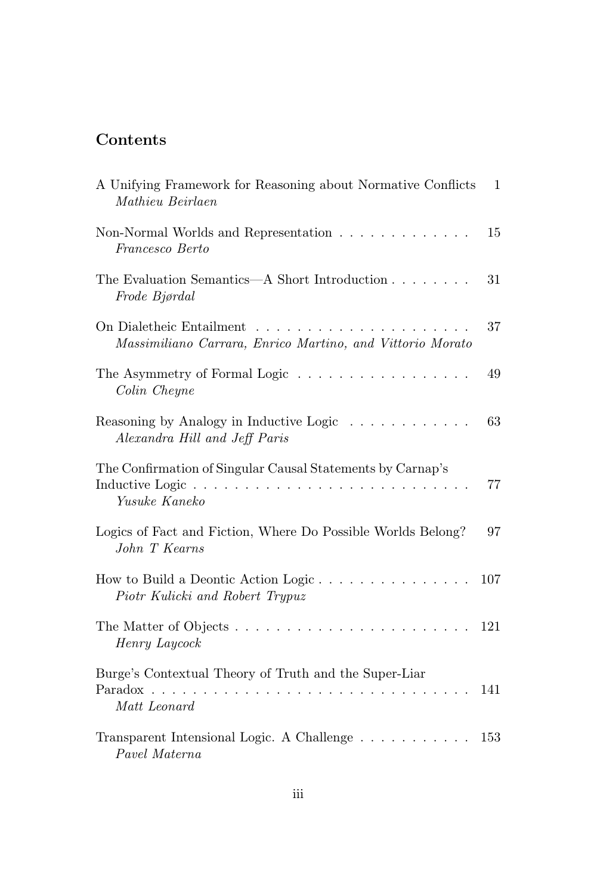## Contents

| A Unifying Framework for Reasoning about Normative Conflicts<br>Mathieu Beirlaen                                                                                                                         | $\mathbf{1}$ |
|----------------------------------------------------------------------------------------------------------------------------------------------------------------------------------------------------------|--------------|
| Non-Normal Worlds and Representation<br>Francesco Berto                                                                                                                                                  | 15           |
| The Evaluation Semantics—A Short Introduction<br>Frode Bjørdal                                                                                                                                           | 31           |
| On Dialetheic Entailment<br>Massimiliano Carrara, Enrico Martino, and Vittorio Morato                                                                                                                    | 37           |
| The Asymmetry of Formal Logic<br>Colin Cheyne                                                                                                                                                            | 49           |
| Reasoning by Analogy in Inductive Logic<br>$\begin{array}{cccccccccccccccccc} . & . & . & . & . & . & . & . & . & . & . & . \end{array}$<br>Alexandra Hill and Jeff Paris                                | 63           |
| The Confirmation of Singular Causal Statements by Carnap's<br>Inductive Logic<br>$\mathbf{r}$ , $\mathbf{r}$ , $\mathbf{r}$ , $\mathbf{r}$ , $\mathbf{r}$ , $\mathbf{r}$ , $\mathbf{r}$<br>Yusuke Kaneko | 77           |
| Logics of Fact and Fiction, Where Do Possible Worlds Belong?<br>John T Kearns                                                                                                                            | 97           |
| How to Build a Deontic Action Logic<br>Piotr Kulicki and Robert Trypuz                                                                                                                                   | 107          |
| The Matter of Objects<br>Henry Laycock                                                                                                                                                                   | 121          |
| Burge's Contextual Theory of Truth and the Super-Liar<br>Paradox<br>Matt Leonard                                                                                                                         | 141          |
| Transparent Intensional Logic. A Challenge<br>Pavel Materna                                                                                                                                              | 153          |